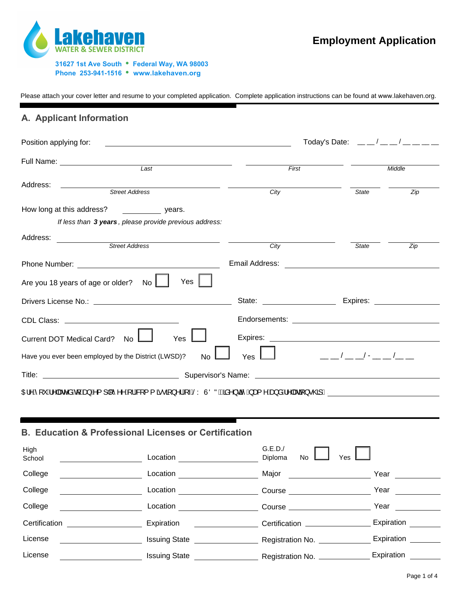

Please attach your cover letter and resume to your completed application. Complete application instructions can be found at www.lakehaven.org.

## **A. Applicant Information**

| Position applying for:                            |                                                                                                                                                                                                                                                     |                                        | Today's Date: $\frac{1}{2}$ $\frac{1}{2}$ $\frac{1}{2}$ $\frac{1}{2}$ $\frac{1}{2}$ $\frac{1}{2}$ $\frac{1}{2}$ $\frac{1}{2}$ $\frac{1}{2}$ $\frac{1}{2}$ $\frac{1}{2}$ $\frac{1}{2}$ $\frac{1}{2}$ $\frac{1}{2}$ $\frac{1}{2}$ $\frac{1}{2}$ $\frac{1}{2}$ $\frac{1}{2}$ $\frac{1}{2}$ $\frac{1}{2}$ $\frac{1}{2$        |
|---------------------------------------------------|-----------------------------------------------------------------------------------------------------------------------------------------------------------------------------------------------------------------------------------------------------|----------------------------------------|---------------------------------------------------------------------------------------------------------------------------------------------------------------------------------------------------------------------------------------------------------------------------------------------------------------------------|
| Full Name: _____________________                  | $\overline{Last}$                                                                                                                                                                                                                                   | First                                  | Middle                                                                                                                                                                                                                                                                                                                    |
|                                                   |                                                                                                                                                                                                                                                     |                                        |                                                                                                                                                                                                                                                                                                                           |
| Address:                                          | Street Address                                                                                                                                                                                                                                      | City                                   | <b>State</b><br>Zip                                                                                                                                                                                                                                                                                                       |
|                                                   | How long at this address? The same sears.                                                                                                                                                                                                           |                                        |                                                                                                                                                                                                                                                                                                                           |
|                                                   | If less than 3 years, please provide previous address:                                                                                                                                                                                              |                                        |                                                                                                                                                                                                                                                                                                                           |
| Address:<br><u> 1989 - Jan Barnett, politik e</u> | <b>Street Address</b>                                                                                                                                                                                                                               | City                                   | State<br>Zip                                                                                                                                                                                                                                                                                                              |
|                                                   |                                                                                                                                                                                                                                                     |                                        |                                                                                                                                                                                                                                                                                                                           |
| Are you 18 years of age or older? No              | Yes                                                                                                                                                                                                                                                 |                                        |                                                                                                                                                                                                                                                                                                                           |
|                                                   |                                                                                                                                                                                                                                                     |                                        | State: Expires:                                                                                                                                                                                                                                                                                                           |
|                                                   |                                                                                                                                                                                                                                                     |                                        |                                                                                                                                                                                                                                                                                                                           |
| Current DOT Medical Card? No I                    | Yes                                                                                                                                                                                                                                                 |                                        |                                                                                                                                                                                                                                                                                                                           |
|                                                   | Have you ever been employed by the District (LWSD)?<br><b>No</b>                                                                                                                                                                                    | Yes                                    | $\frac{\frac{1}{2}}{2}$ $\frac{\frac{1}{2}}{2}$ $\frac{1}{2}$ $\frac{1}{2}$ $\frac{1}{2}$ $\frac{1}{2}$ $\frac{1}{2}$ $\frac{1}{2}$ $\frac{1}{2}$ $\frac{1}{2}$ $\frac{1}{2}$ $\frac{1}{2}$ $\frac{1}{2}$ $\frac{1}{2}$ $\frac{1}{2}$ $\frac{1}{2}$ $\frac{1}{2}$ $\frac{1}{2}$ $\frac{1}{2}$ $\frac{1}{2}$ $\frac{1}{2}$ |
|                                                   |                                                                                                                                                                                                                                                     |                                        |                                                                                                                                                                                                                                                                                                                           |
|                                                   | 0El^Á[ˇÁ^ æ&^åÁe[Áæ}Á^{] [^^^Á{¦Á&]{{ã∙ã}^¦Át~ÁŠYÙÖÑÁQãå^}cã-́Á,æ{^Áæ}åÁ^ æaã[}∙@3D                                                                                                                                                                 |                                        |                                                                                                                                                                                                                                                                                                                           |
|                                                   | <b>B. Education &amp; Professional Licenses or Certification</b>                                                                                                                                                                                    |                                        |                                                                                                                                                                                                                                                                                                                           |
| High<br>School                                    | Location<br><u> Alban Alban (</u> 1985), serika pertama pendadaran pendadaran pertama pertama pertama pertama pertama pertama per<br>Pertama pertama pertama pertama pertama pertama pertama pertama pertama pertama pertama pertama pertama pertam | G.E.D.<br>Diploma<br>No.               | Yes                                                                                                                                                                                                                                                                                                                       |
| College                                           | Location <u>_________________________</u>                                                                                                                                                                                                           | Major ___________________              | Year and the state of the state of the state of the state of the state of the state of the state of the state of the state of the state of the state of the state of the state of the state of the state of the state of the st                                                                                           |
| College                                           |                                                                                                                                                                                                                                                     | Course <u>Course Course and Course</u> | Year<br><u> 1990 - Jan Barnett</u>                                                                                                                                                                                                                                                                                        |
| College                                           |                                                                                                                                                                                                                                                     |                                        | Year                                                                                                                                                                                                                                                                                                                      |
| Certification                                     | Expiration                                                                                                                                                                                                                                          | Certification _________________        | Expiration                                                                                                                                                                                                                                                                                                                |
| License                                           | Issuing State <b>Contract Contract Contract Contract Contract Contract Contract Contract Contract Contract Contract Contract Contract Contract Contract Contract Contract Contract Contract Contract Contract Contract Contract </b>                | Registration No. _____________         | Expiration                                                                                                                                                                                                                                                                                                                |
| License                                           | <b>Issuing State</b>                                                                                                                                                                                                                                | Registration No. ____________          | Expiration                                                                                                                                                                                                                                                                                                                |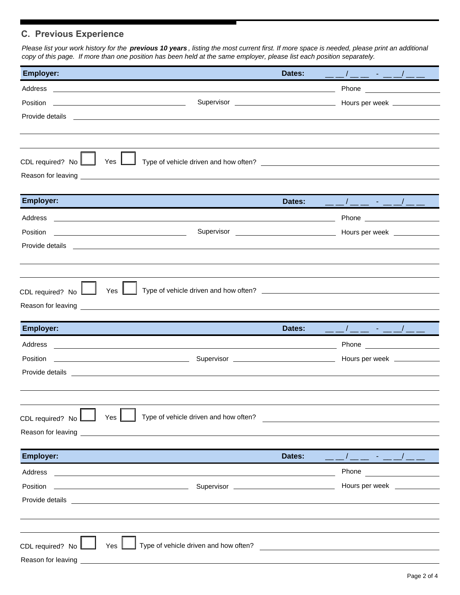# **C. Previous Experience**

*Please list your work history for the previous 10 years , listing the most current first. If more space is needed, please print an additional copy of this page. If more than one position has been held at the same employer, please list each position separately.*

| <b>Employer:</b>                       |                                                                                                                                                                                                                                      | Dates: | __/__ - __/__ _                                                                                                                                                                                                                               |  |
|----------------------------------------|--------------------------------------------------------------------------------------------------------------------------------------------------------------------------------------------------------------------------------------|--------|-----------------------------------------------------------------------------------------------------------------------------------------------------------------------------------------------------------------------------------------------|--|
|                                        |                                                                                                                                                                                                                                      |        |                                                                                                                                                                                                                                               |  |
|                                        |                                                                                                                                                                                                                                      |        |                                                                                                                                                                                                                                               |  |
|                                        |                                                                                                                                                                                                                                      |        |                                                                                                                                                                                                                                               |  |
|                                        |                                                                                                                                                                                                                                      |        |                                                                                                                                                                                                                                               |  |
|                                        |                                                                                                                                                                                                                                      |        |                                                                                                                                                                                                                                               |  |
| CDL required? No                       | Yes $L$                                                                                                                                                                                                                              |        |                                                                                                                                                                                                                                               |  |
|                                        |                                                                                                                                                                                                                                      |        |                                                                                                                                                                                                                                               |  |
|                                        |                                                                                                                                                                                                                                      |        |                                                                                                                                                                                                                                               |  |
| <b>Employer:</b>                       |                                                                                                                                                                                                                                      | Dates: | __/__ - __/__ _                                                                                                                                                                                                                               |  |
|                                        |                                                                                                                                                                                                                                      |        |                                                                                                                                                                                                                                               |  |
| Position                               | <u> 1989 - Johann Harry Harry Harry Harry Harry Harry Harry Harry Harry Harry Harry Harry Harry Harry Harry Harry</u>                                                                                                                |        |                                                                                                                                                                                                                                               |  |
|                                        | Provide details <b>experience of the contract of the contract of the contract of the contract of the contract of the contract of the contract of the contract of the contract of the contract of the contract of the contract of</b> |        |                                                                                                                                                                                                                                               |  |
|                                        |                                                                                                                                                                                                                                      |        |                                                                                                                                                                                                                                               |  |
|                                        |                                                                                                                                                                                                                                      |        |                                                                                                                                                                                                                                               |  |
| CDL required? No                       | Yes                                                                                                                                                                                                                                  |        |                                                                                                                                                                                                                                               |  |
|                                        | Reason for leaving <b>contract the contract of the contract of the contract of the contract of the contract of the contract of the contract of the contract of the contract of the contract of the contract of the contract of t</b> |        |                                                                                                                                                                                                                                               |  |
|                                        |                                                                                                                                                                                                                                      |        |                                                                                                                                                                                                                                               |  |
|                                        |                                                                                                                                                                                                                                      |        |                                                                                                                                                                                                                                               |  |
| <b>Employer:</b>                       |                                                                                                                                                                                                                                      | Dates: | ______ - ___/___                                                                                                                                                                                                                              |  |
| Address                                |                                                                                                                                                                                                                                      |        |                                                                                                                                                                                                                                               |  |
|                                        |                                                                                                                                                                                                                                      |        |                                                                                                                                                                                                                                               |  |
|                                        |                                                                                                                                                                                                                                      |        |                                                                                                                                                                                                                                               |  |
|                                        |                                                                                                                                                                                                                                      |        |                                                                                                                                                                                                                                               |  |
|                                        |                                                                                                                                                                                                                                      |        |                                                                                                                                                                                                                                               |  |
|                                        | Type of vehicle driven and how often?<br>Yes                                                                                                                                                                                         |        |                                                                                                                                                                                                                                               |  |
| CDL required? No<br>Reason for leaving |                                                                                                                                                                                                                                      |        | <u> 1989 - John Stein, Amerikaansk politiker (</u>                                                                                                                                                                                            |  |
|                                        |                                                                                                                                                                                                                                      |        |                                                                                                                                                                                                                                               |  |
| <b>Employer:</b>                       |                                                                                                                                                                                                                                      | Dates: | $\frac{1}{2}$ . $\frac{1}{2}$ . $\frac{1}{2}$ . $\frac{1}{2}$ . $\frac{1}{2}$                                                                                                                                                                 |  |
| Address                                | <u>and the second control of the second control of the second control of the second control of the second control of the second control of the second control of the second control of the second control of the second control </u> |        | Phone<br><u>and the community of the community of the community of the community of the community of the community of the community of the community of the community of the community of the community of the community of the community</u> |  |
| Position                               | <u>Supervisor Communications of the Supervisor Communications and the set of the set of the set of the set of the set of the set of the set of the set of the set of the set of the set of the set of the set of the set of the </u> |        | Hours per week _____________                                                                                                                                                                                                                  |  |
|                                        | Provide details <b>Exercísion Contract Contract Contract Contract Contract Contract Contract Contract Contract Contract Contract Contract Contract Contract Contract Contract Contract Contract Contract Contract Contract Contr</b> |        |                                                                                                                                                                                                                                               |  |
|                                        |                                                                                                                                                                                                                                      |        |                                                                                                                                                                                                                                               |  |
|                                        |                                                                                                                                                                                                                                      |        |                                                                                                                                                                                                                                               |  |
|                                        | Yes                                                                                                                                                                                                                                  |        |                                                                                                                                                                                                                                               |  |
| CDL required? No<br>Reason for leaving | Type of vehicle driven and how often?                                                                                                                                                                                                |        |                                                                                                                                                                                                                                               |  |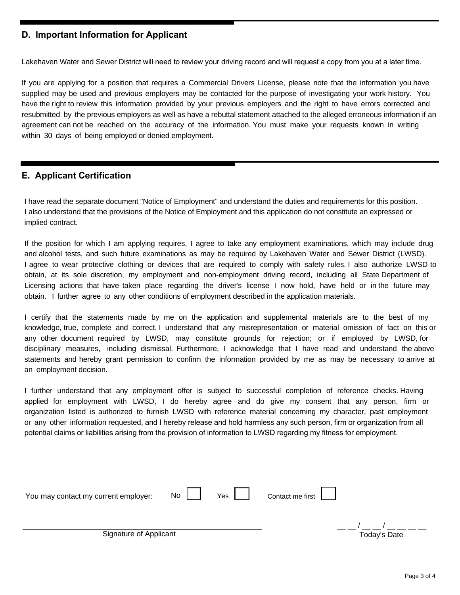### **D. Important Information for Applicant**

Lakehaven Water and Sewer District will need to review your driving record and will request a copy from you at a later time.

If you are applying for a position that requires a Commercial Drivers License, please note that the information you have supplied may be used and previous employers may be contacted for the purpose of investigating your work history. You have the right to review this information provided by your previous employers and the right to have errors corrected and resubmitted by the previous employers as well as have a rebuttal statement attached to the alleged erroneous information if an agreement can not be reached on the accuracy of the information. You must make your requests known in writing within 30 days of being employed or denied employment.

#### **E. Applicant Certification**

I have read the separate document "Notice of Employment" and understand the duties and requirements for this position. I also understand that the provisions of the Notice of Employment and this application do not constitute an expressed or implied contract.

If the position for which I am applying requires, I agree to take any employment examinations, which may include drug and alcohol tests, and such future examinations as may be required by Lakehaven Water and Sewer District (LWSD). I agree to wear protective clothing or devices that are required to comply with safety rules. I also authorize LWSD to obtain, at its sole discretion, my employment and non-employment driving record, including all State Department of Licensing actions that have taken place regarding the driver's license I now hold, have held or in the future may obtain. I further agree to any other conditions of employment described in the application materials.

I certify that the statements made by me on the application and supplemental materials are to the best of my knowledge, true, complete and correct. I understand that any misrepresentation or material omission of fact on this or any other document required by LWSD, may constitute grounds for rejection; or if employed by LWSD, for disciplinary measures, including dismissal. Furthermore, I acknowledge that I have read and understand the above statements and hereby grant permission to confirm the information provided by me as may be necessary to arrive at an employment decision.

I further understand that any employment offer is subject to successful completion of reference checks. Having applied for employment with LWSD, I do hereby agree and do give my consent that any person, firm or organization listed is authorized to furnish LWSD with reference material concerning my character, past employment or any other information requested, and I hereby release and hold harmless any such person, firm or organization from all potential claims or liabilities arising from the provision of information to LWSD regarding my fitness for employment.

| You may contact my current employer: | $\overline{N}$ $\overline{a}$ $\overline{b}$ | Yes $\vert$ | Contact me first $\boxed{\phantom{a}}$ |              |
|--------------------------------------|----------------------------------------------|-------------|----------------------------------------|--------------|
| Signature of Applicant               |                                              |             |                                        | Today's Date |